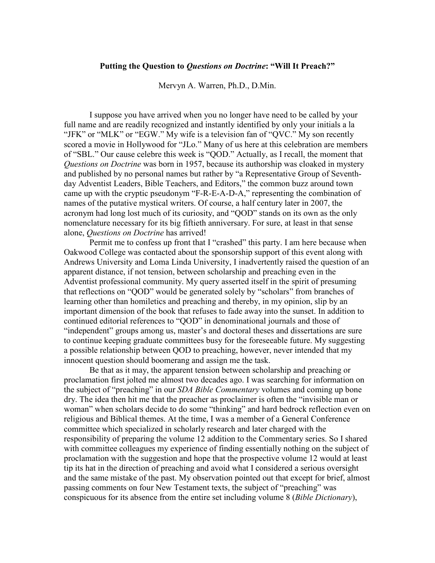## Putting the Question to Questions on Doctrine: "Will It Preach?"

Mervyn A. Warren, Ph.D., D.Min.

 I suppose you have arrived when you no longer have need to be called by your full name and are readily recognized and instantly identified by only your initials a la "JFK" or "MLK" or "EGW." My wife is a television fan of "QVC." My son recently scored a movie in Hollywood for "JLo." Many of us here at this celebration are members of "SBL." Our cause celebre this week is "QOD." Actually, as I recall, the moment that Questions on Doctrine was born in 1957, because its authorship was cloaked in mystery and published by no personal names but rather by "a Representative Group of Seventhday Adventist Leaders, Bible Teachers, and Editors," the common buzz around town came up with the cryptic pseudonym "F-R-E-A-D-A," representing the combination of names of the putative mystical writers. Of course, a half century later in 2007, the acronym had long lost much of its curiosity, and "QOD" stands on its own as the only nomenclature necessary for its big fiftieth anniversary. For sure, at least in that sense alone, Questions on Doctrine has arrived!

 Permit me to confess up front that I "crashed" this party. I am here because when Oakwood College was contacted about the sponsorship support of this event along with Andrews University and Loma Linda University, I inadvertently raised the question of an apparent distance, if not tension, between scholarship and preaching even in the Adventist professional community. My query asserted itself in the spirit of presuming that reflections on "QOD" would be generated solely by "scholars" from branches of learning other than homiletics and preaching and thereby, in my opinion, slip by an important dimension of the book that refuses to fade away into the sunset. In addition to continued editorial references to "QOD" in denominational journals and those of "independent" groups among us, master's and doctoral theses and dissertations are sure to continue keeping graduate committees busy for the foreseeable future. My suggesting a possible relationship between QOD to preaching, however, never intended that my innocent question should boomerang and assign me the task.

 Be that as it may, the apparent tension between scholarship and preaching or proclamation first jolted me almost two decades ago. I was searching for information on the subject of "preaching" in our *SDA Bible Commentary* volumes and coming up bone dry. The idea then hit me that the preacher as proclaimer is often the "invisible man or woman" when scholars decide to do some "thinking" and hard bedrock reflection even on religious and Biblical themes. At the time, I was a member of a General Conference committee which specialized in scholarly research and later charged with the responsibility of preparing the volume 12 addition to the Commentary series. So I shared with committee colleagues my experience of finding essentially nothing on the subject of proclamation with the suggestion and hope that the prospective volume 12 would at least tip its hat in the direction of preaching and avoid what I considered a serious oversight and the same mistake of the past. My observation pointed out that except for brief, almost passing comments on four New Testament texts, the subject of "preaching" was conspicuous for its absence from the entire set including volume 8 (Bible Dictionary),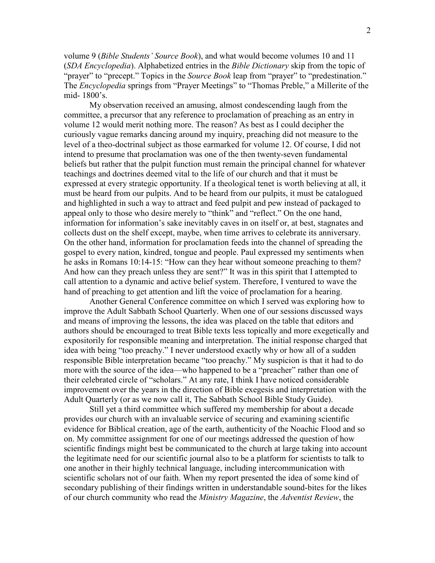volume 9 (Bible Students' Source Book), and what would become volumes 10 and 11 (SDA Encyclopedia). Alphabetized entries in the Bible Dictionary skip from the topic of "prayer" to "precept." Topics in the *Source Book* leap from "prayer" to "predestination." The *Encyclopedia* springs from "Prayer Meetings" to "Thomas Preble," a Millerite of the mid- 1800's.

 My observation received an amusing, almost condescending laugh from the committee, a precursor that any reference to proclamation of preaching as an entry in volume 12 would merit nothing more. The reason? As best as I could decipher the curiously vague remarks dancing around my inquiry, preaching did not measure to the level of a theo-doctrinal subject as those earmarked for volume 12. Of course, I did not intend to presume that proclamation was one of the then twenty-seven fundamental beliefs but rather that the pulpit function must remain the principal channel for whatever teachings and doctrines deemed vital to the life of our church and that it must be expressed at every strategic opportunity. If a theological tenet is worth believing at all, it must be heard from our pulpits. And to be heard from our pulpits, it must be catalogued and highlighted in such a way to attract and feed pulpit and pew instead of packaged to appeal only to those who desire merely to "think" and "reflect." On the one hand, information for information's sake inevitably caves in on itself or, at best, stagnates and collects dust on the shelf except, maybe, when time arrives to celebrate its anniversary. On the other hand, information for proclamation feeds into the channel of spreading the gospel to every nation, kindred, tongue and people. Paul expressed my sentiments when he asks in Romans 10:14-15: "How can they hear without someone preaching to them? And how can they preach unless they are sent?" It was in this spirit that I attempted to call attention to a dynamic and active belief system. Therefore, I ventured to wave the hand of preaching to get attention and lift the voice of proclamation for a hearing.

 Another General Conference committee on which I served was exploring how to improve the Adult Sabbath School Quarterly. When one of our sessions discussed ways and means of improving the lessons, the idea was placed on the table that editors and authors should be encouraged to treat Bible texts less topically and more exegetically and expositorily for responsible meaning and interpretation. The initial response charged that idea with being "too preachy." I never understood exactly why or how all of a sudden responsible Bible interpretation became "too preachy." My suspicion is that it had to do more with the source of the idea—who happened to be a "preacher" rather than one of their celebrated circle of "scholars." At any rate, I think I have noticed considerable improvement over the years in the direction of Bible exegesis and interpretation with the Adult Quarterly (or as we now call it, The Sabbath School Bible Study Guide).

 Still yet a third committee which suffered my membership for about a decade provides our church with an invaluable service of securing and examining scientific evidence for Biblical creation, age of the earth, authenticity of the Noachic Flood and so on. My committee assignment for one of our meetings addressed the question of how scientific findings might best be communicated to the church at large taking into account the legitimate need for our scientific journal also to be a platform for scientists to talk to one another in their highly technical language, including intercommunication with scientific scholars not of our faith. When my report presented the idea of some kind of secondary publishing of their findings written in understandable sound-bites for the likes of our church community who read the Ministry Magazine, the Adventist Review, the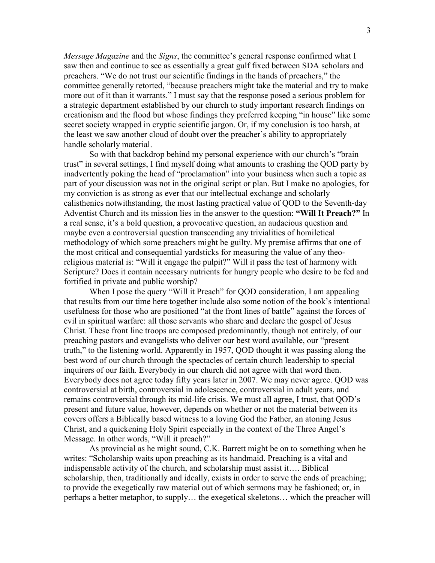*Message Magazine* and the *Signs*, the committee's general response confirmed what I saw then and continue to see as essentially a great gulf fixed between SDA scholars and preachers. "We do not trust our scientific findings in the hands of preachers," the committee generally retorted, "because preachers might take the material and try to make more out of it than it warrants." I must say that the response posed a serious problem for a strategic department established by our church to study important research findings on creationism and the flood but whose findings they preferred keeping "in house" like some secret society wrapped in cryptic scientific jargon. Or, if my conclusion is too harsh, at the least we saw another cloud of doubt over the preacher's ability to appropriately handle scholarly material.

 So with that backdrop behind my personal experience with our church's "brain trust" in several settings, I find myself doing what amounts to crashing the QOD party by inadvertently poking the head of "proclamation" into your business when such a topic as part of your discussion was not in the original script or plan. But I make no apologies, for my conviction is as strong as ever that our intellectual exchange and scholarly calisthenics notwithstanding, the most lasting practical value of QOD to the Seventh-day Adventist Church and its mission lies in the answer to the question: "Will It Preach?" In a real sense, it's a bold question, a provocative question, an audacious question and maybe even a controversial question transcending any trivialities of homiletical methodology of which some preachers might be guilty. My premise affirms that one of the most critical and consequential yardsticks for measuring the value of any theoreligious material is: "Will it engage the pulpit?" Will it pass the test of harmony with Scripture? Does it contain necessary nutrients for hungry people who desire to be fed and fortified in private and public worship?

When I pose the query "Will it Preach" for QOD consideration, I am appealing that results from our time here together include also some notion of the book's intentional usefulness for those who are positioned "at the front lines of battle" against the forces of evil in spiritual warfare: all those servants who share and declare the gospel of Jesus Christ. These front line troops are composed predominantly, though not entirely, of our preaching pastors and evangelists who deliver our best word available, our "present truth," to the listening world. Apparently in 1957, QOD thought it was passing along the best word of our church through the spectacles of certain church leadership to special inquirers of our faith. Everybody in our church did not agree with that word then. Everybody does not agree today fifty years later in 2007. We may never agree. QOD was controversial at birth, controversial in adolescence, controversial in adult years, and remains controversial through its mid-life crisis. We must all agree, I trust, that QOD's present and future value, however, depends on whether or not the material between its covers offers a Biblically based witness to a loving God the Father, an atoning Jesus Christ, and a quickening Holy Spirit especially in the context of the Three Angel's Message. In other words, "Will it preach?"

 As provincial as he might sound, C.K. Barrett might be on to something when he writes: "Scholarship waits upon preaching as its handmaid. Preaching is a vital and indispensable activity of the church, and scholarship must assist it…. Biblical scholarship, then, traditionally and ideally, exists in order to serve the ends of preaching; to provide the exegetically raw material out of which sermons may be fashioned; or, in perhaps a better metaphor, to supply… the exegetical skeletons… which the preacher will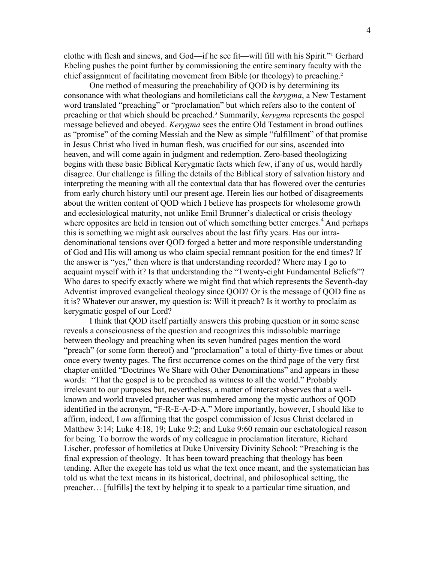clothe with flesh and sinews, and God—if he see fit—will fill with his Spirit."<sup>1</sup> Gerhard Ebeling pushes the point further by commissioning the entire seminary faculty with the chief assignment of facilitating movement from Bible (or theology) to preaching.²

 One method of measuring the preachability of QOD is by determining its consonance with what theologians and homileticians call the kerygma, a New Testament word translated "preaching" or "proclamation" but which refers also to the content of preaching or that which should be preached.<sup>3</sup> Summarily, *kerygma* represents the gospel message believed and obeyed. *Kerygma* sees the entire Old Testament in broad outlines as "promise" of the coming Messiah and the New as simple "fulfillment" of that promise in Jesus Christ who lived in human flesh, was crucified for our sins, ascended into heaven, and will come again in judgment and redemption. Zero-based theologizing begins with these basic Biblical Kerygmatic facts which few, if any of us, would hardly disagree. Our challenge is filling the details of the Biblical story of salvation history and interpreting the meaning with all the contextual data that has flowered over the centuries from early church history until our present age. Herein lies our hotbed of disagreements about the written content of QOD which I believe has prospects for wholesome growth and ecclesiological maturity, not unlike Emil Brunner's dialectical or crisis theology where opposites are held in tension out of which something better emerges.<sup>4</sup> And perhaps this is something we might ask ourselves about the last fifty years. Has our intradenominational tensions over QOD forged a better and more responsible understanding of God and His will among us who claim special remnant position for the end times? If the answer is "yes," then where is that understanding recorded? Where may I go to acquaint myself with it? Is that understanding the "Twenty-eight Fundamental Beliefs"? Who dares to specify exactly where we might find that which represents the Seventh-day Adventist improved evangelical theology since QOD? Or is the message of QOD fine as it is? Whatever our answer, my question is: Will it preach? Is it worthy to proclaim as kerygmatic gospel of our Lord?

 I think that QOD itself partially answers this probing question or in some sense reveals a consciousness of the question and recognizes this indissoluble marriage between theology and preaching when its seven hundred pages mention the word "preach" (or some form thereof) and "proclamation" a total of thirty-five times or about once every twenty pages. The first occurrence comes on the third page of the very first chapter entitled "Doctrines We Share with Other Denominations" and appears in these words: "That the gospel is to be preached as witness to all the world." Probably irrelevant to our purposes but, nevertheless, a matter of interest observes that a wellknown and world traveled preacher was numbered among the mystic authors of QOD identified in the acronym, "F-R-E-A-D-A." More importantly, however, I should like to affirm, indeed, I am affirming that the gospel commission of Jesus Christ declared in Matthew 3:14; Luke 4:18, 19; Luke 9:2; and Luke 9:60 remain our eschatological reason for being. To borrow the words of my colleague in proclamation literature, Richard Lischer, professor of homiletics at Duke University Divinity School: "Preaching is the final expression of theology. It has been toward preaching that theology has been tending. After the exegete has told us what the text once meant, and the systematician has told us what the text means in its historical, doctrinal, and philosophical setting, the preacher… [fulfills] the text by helping it to speak to a particular time situation, and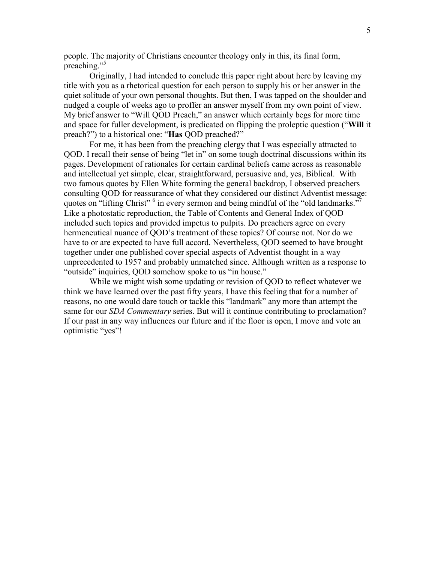people. The majority of Christians encounter theology only in this, its final form, preaching."<sup>5</sup>

 Originally, I had intended to conclude this paper right about here by leaving my title with you as a rhetorical question for each person to supply his or her answer in the quiet solitude of your own personal thoughts. But then, I was tapped on the shoulder and nudged a couple of weeks ago to proffer an answer myself from my own point of view. My brief answer to "Will QOD Preach," an answer which certainly begs for more time and space for fuller development, is predicated on flipping the proleptic question ("Will it preach?") to a historical one: "Has QOD preached?"

 For me, it has been from the preaching clergy that I was especially attracted to QOD. I recall their sense of being "let in" on some tough doctrinal discussions within its pages. Development of rationales for certain cardinal beliefs came across as reasonable and intellectual yet simple, clear, straightforward, persuasive and, yes, Biblical. With two famous quotes by Ellen White forming the general backdrop, I observed preachers consulting QOD for reassurance of what they considered our distinct Adventist message: quotes on "lifting Christ" <sup>6</sup> in every sermon and being mindful of the "old landmarks."<sup>7</sup> Like a photostatic reproduction, the Table of Contents and General Index of QOD included such topics and provided impetus to pulpits. Do preachers agree on every hermeneutical nuance of QOD's treatment of these topics? Of course not. Nor do we have to or are expected to have full accord. Nevertheless, QOD seemed to have brought together under one published cover special aspects of Adventist thought in a way unprecedented to 1957 and probably unmatched since. Although written as a response to "outside" inquiries, QOD somehow spoke to us "in house."

 While we might wish some updating or revision of QOD to reflect whatever we think we have learned over the past fifty years, I have this feeling that for a number of reasons, no one would dare touch or tackle this "landmark" any more than attempt the same for our *SDA Commentary* series. But will it continue contributing to proclamation? If our past in any way influences our future and if the floor is open, I move and vote an optimistic "yes"!